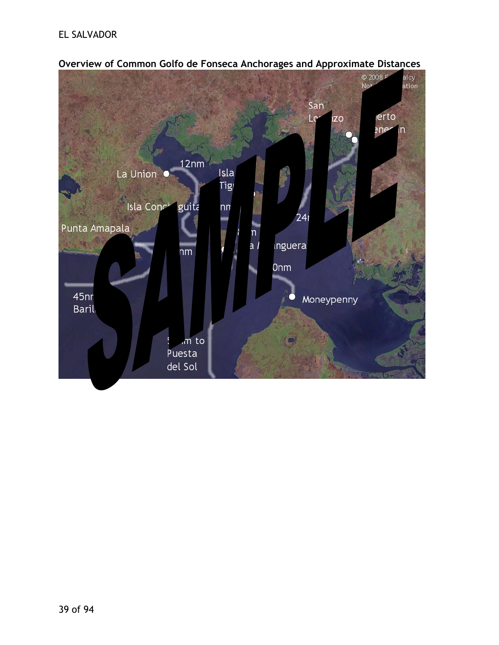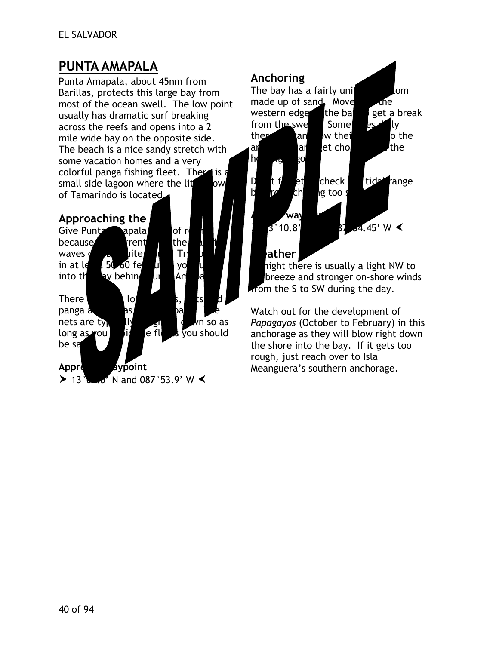## **PUNTA AMAPALA**

Punta Amapala, about 45nm from Barillas, protects this large bay from most of the ocean swell. The low point usually has dramatic surf breaking across the reefs and opens into a 2 mile wide bay on the opposite side. The beach is a nice sandy stretch with some vacation homes and a very colorful panga fishing fleet. There is a small side lagoon where the lit $\bullet$  own of Tamarindo is located.

#### Approaching the

| Give Punt                                                    | apala           |        | of r         |    |          |
|--------------------------------------------------------------|-----------------|--------|--------------|----|----------|
| because                                                      | rrent           |        | the          |    |          |
| waves o<br>D                                                 | lite.           |        | Tr           |    |          |
| in at le                                                     | $150-60$ fe     |        | yo           |    |          |
| into th                                                      | ay behin        | uı     | Αm           |    |          |
|                                                              |                 |        |              |    |          |
| <b>There</b>                                                 | lo,             |        |              | ts |          |
| panga a                                                      | as              |        | Dа           |    |          |
| nets are typ                                                 | lly             | 51     |              |    | vn so as |
| long as you                                                  |                 | le fll | s you should |    |          |
| be sa                                                        |                 |        |              |    |          |
|                                                              |                 |        |              |    |          |
| <b>Appro</b>                                                 | <b>L</b> ypoint |        |              |    |          |
| $\sum$ 420<br>$\mathbf{M}$ and $\mathbf{M}$ and $\mathbf{M}$ |                 |        |              |    |          |

 $\blacktriangleright$  13°07.0' N and 087°53.9' W  $\blacktriangleleft$ 

### **Anchoring**



# **L**ather

hight there is usually a light NW to breeze and stronger on-shore winds fom the S to SW during the day.

Watch out for the development of *Papagayos* (October to February) in this anchorage as they will blow right down the shore into the bay. If it gets too rough, just reach over to Isla Meanguera's southern anchorage.